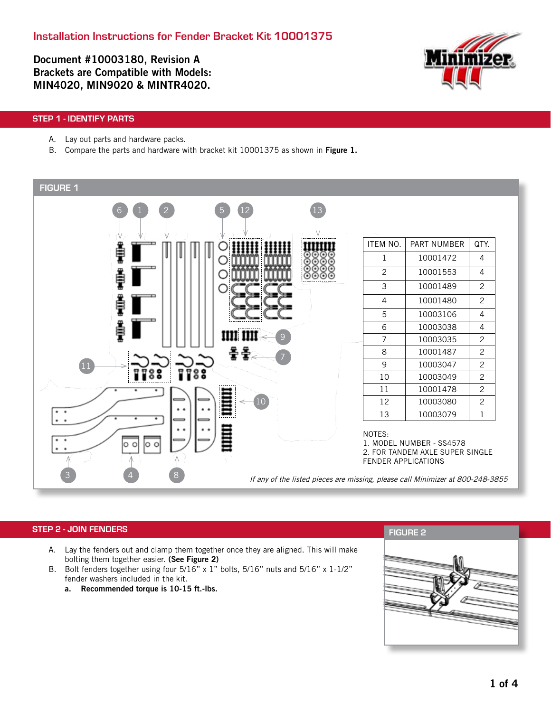Document #10003180, Revision A Brackets are Compatible with Models: MIN4020, MIN9020 & MINTR4020.



### STEP 1 - IDENTIFY PARTS

- A. Lay out parts and hardware packs.
- B. Compare the parts and hardware with bracket kit 10001375 as shown in Figure 1.



### STEP 2 - JOIN FENDERS

- A. Lay the fenders out and clamp them together once they are aligned. This will make bolting them together easier. (See Figure 2)
- B. Bolt fenders together using four 5/16" x 1" bolts, 5/16" nuts and 5/16" x 1-1/2" fender washers included in the kit.
	- a. Recommended torque is 10-15 ft.-lbs.

FIGURE 2

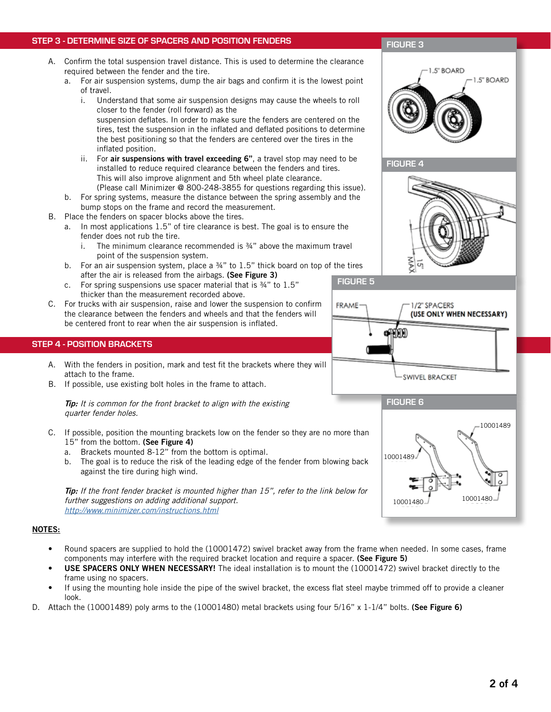#### STEP 3 - DETERMINE SIZE OF SPACERS AND POSITION FENDERS

- A. Confirm the total suspension travel distance. This is used to determine the clearance required between the fender and the tire.
	- a. For air suspension systems, dump the air bags and confirm it is the lowest point of travel.
		- i. Understand that some air suspension designs may cause the wheels to roll closer to the fender (roll forward) as the

suspension deflates. In order to make sure the fenders are centered on the tires, test the suspension in the inflated and deflated positions to determine the best positioning so that the fenders are centered over the tires in the inflated position.

- ii. For air suspensions with travel exceeding 6", a travel stop may need to be installed to reduce required clearance between the fenders and tires. This will also improve alignment and 5th wheel plate clearance. (Please call Minimizer @ 800-248-3855 for questions regarding this issue).
- b. For spring systems, measure the distance between the spring assembly and the bump stops on the frame and record the measurement.
- B. Place the fenders on spacer blocks above the tires.
	- a. In most applications 1.5" of tire clearance is best. The goal is to ensure the fender does not rub the tire.
		- i. The minimum clearance recommended is  $\frac{3}{4}$ " above the maximum travel point of the suspension system.
	- b. For an air suspension system, place a  $\frac{3}{4}$ " to 1.5" thick board on top of the tires after the air is released from the airbags. (See Figure 3) FIGURE 5
	- c. For spring suspensions use spacer material that is ¾" to 1.5" thicker than the measurement recorded above.
- C. For trucks with air suspension, raise and lower the suspension to confirm the clearance between the fenders and wheels and that the fenders will be centered front to rear when the air suspension is inflated.

#### STEP 4 - POSITION BRACKETS

- A. With the fenders in position, mark and test fit the brackets where they will attach to the frame.
- B. If possible, use existing bolt holes in the frame to attach.

Tip: It is common for the front bracket to align with the existing quarter fender holes.

- C. If possible, position the mounting brackets low on the fender so they are no more than 15" from the bottom. (See Figure 4)
	- a. Brackets mounted 8-12" from the bottom is optimal.
	- b. The goal is to reduce the risk of the leading edge of the fender from blowing back against the tire during high wind.

Tip: If the front fender bracket is mounted higher than 15", refer to the link below for further suggestions on adding additional support. http://www.minimizer.com/instructions.html

#### NOTES:

- Round spacers are supplied to hold the (10001472) swivel bracket away from the frame when needed. In some cases, frame components may interfere with the required bracket location and require a spacer. (See Figure 5)
- USE SPACERS ONLY WHEN NECESSARY! The ideal installation is to mount the (10001472) swivel bracket directly to the frame using no spacers.
- If using the mounting hole inside the pipe of the swivel bracket, the excess flat steel maybe trimmed off to provide a cleaner look.
- D. Attach the (10001489) poly arms to the (10001480) metal brackets using four 5/16" x 1-1/4" bolts. (See Figure 6)

## FIGURE 3









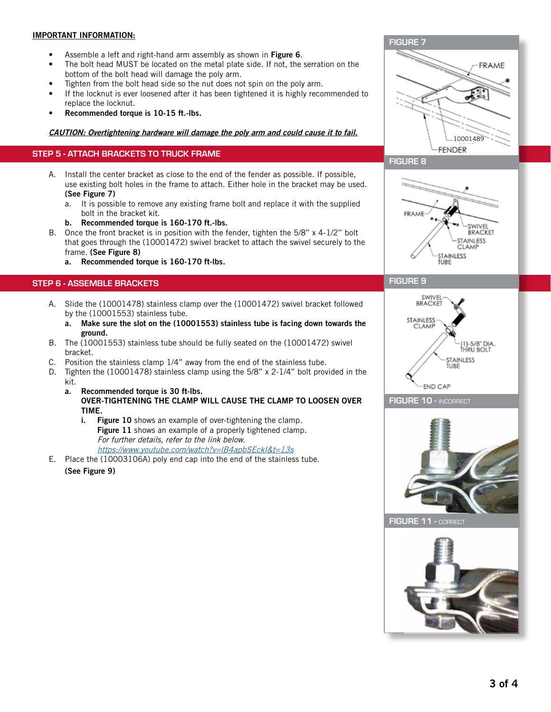### IMPORTANT INFORMATION:

- Assemble a left and right-hand arm assembly as shown in Figure 6.
- The bolt head MUST be located on the metal plate side. If not, the serration on the bottom of the bolt head will damage the poly arm.
- Tighten from the bolt head side so the nut does not spin on the poly arm.
- If the locknut is ever loosened after it has been tightened it is highly recommended to replace the locknut.
- Recommended torque is 10-15 ft.-lbs.

### CAUTION: Overtightening hardware will damage the poly arm and could cause it to fail.

### STEP 5 - ATTACH BRACKETS TO TRUCK FRAME

- A. Install the center bracket as close to the end of the fender as possible. If possible, use existing bolt holes in the frame to attach. Either hole in the bracket may be used. (See Figure 7)
	- a. It is possible to remove any existing frame bolt and replace it with the supplied bolt in the bracket kit.
	- b. Recommended torque is 160-170 ft.-lbs.
- B. Once the front bracket is in position with the fender, tighten the 5/8" x 4-1/2" bolt that goes through the (10001472) swivel bracket to attach the swivel securely to the frame. (See Figure 8)
	- a. Recommended torque is 160-170 ft-lbs.

### STEP 6 - ASSEMBLE BRACKETS

- A. Slide the (10001478) stainless clamp over the (10001472) swivel bracket followed by the (10001553) stainless tube.
	- a. Make sure the slot on the (10001553) stainless tube is facing down towards the ground.
- B. The (10001553) stainless tube should be fully seated on the (10001472) swivel bracket.
- C. Position the stainless clamp 1/4" away from the end of the stainless tube.
- D. Tighten the (10001478) stainless clamp using the 5/8" x 2-1/4" bolt provided in the kit.
	- a. Recommended torque is 30 ft-lbs. OVER-TIGHTENING THE CLAMP WILL CAUSE THE CLAMP TO LOOSEN OVER TIME.
		- i. Figure 10 shows an example of over-tightening the clamp. Figure 11 shows an example of a properly tightened clamp. For further details, refer to the link below. https://www.youtube.com/watch?v=IB4apbSEckI&t=13s
- E. Place the (10003106A) poly end cap into the end of the stainless tube.
	- (See Figure 9)



### FIGURE 8



### FIGURE 9







FIGURE 11 - COF